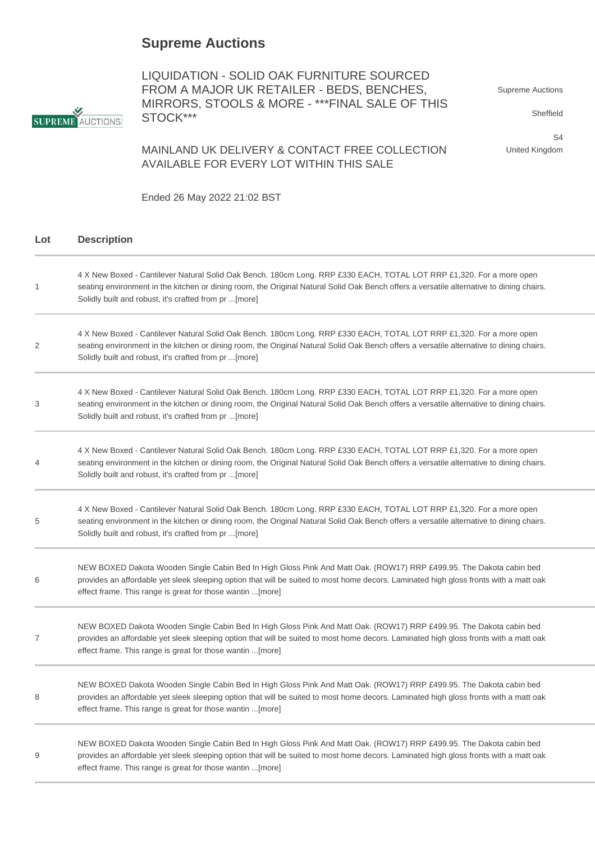## **Supreme Auctions**

LIQUIDATION - SOLID OAK FURNITURE SOURCED FROM A MAJOR UK RETAILER - BEDS, BENCHES, MIRRORS, STOOLS & MORE - \*\*\*FINAL SALE OF THIS STOCK\*\*\*

Supreme Auctions

Sheffield

S4 United Kingdom

MAINLAND UK DELIVERY & CONTACT FREE COLLECTION AVAILABLE FOR EVERY LOT WITHIN THIS SALE

Ended 26 May 2022 21:02 BST

## **Lot Description**

| 1              | 4 X New Boxed - Cantilever Natural Solid Oak Bench. 180cm Long. RRP £330 EACH, TOTAL LOT RRP £1,320. For a more open<br>seating environment in the kitchen or dining room, the Original Natural Solid Oak Bench offers a versatile alternative to dining chairs.<br>Solidly built and robust, it's crafted from pr [more]  |
|----------------|----------------------------------------------------------------------------------------------------------------------------------------------------------------------------------------------------------------------------------------------------------------------------------------------------------------------------|
| 2              | 4 X New Boxed - Cantilever Natural Solid Oak Bench. 180cm Long. RRP £330 EACH, TOTAL LOT RRP £1,320. For a more open<br>seating environment in the kitchen or dining room, the Original Natural Solid Oak Bench offers a versatile alternative to dining chairs.<br>Solidly built and robust, it's crafted from pr [more]  |
| 3              | 4 X New Boxed - Cantilever Natural Solid Oak Bench. 180cm Long. RRP £330 EACH, TOTAL LOT RRP £1,320. For a more open<br>seating environment in the kitchen or dining room, the Original Natural Solid Oak Bench offers a versatile alternative to dining chairs.<br>Solidly built and robust, it's crafted from pr [more]  |
| 4              | 4 X New Boxed - Cantilever Natural Solid Oak Bench. 180cm Long. RRP £330 EACH, TOTAL LOT RRP £1,320. For a more open<br>seating environment in the kitchen or dining room, the Original Natural Solid Oak Bench offers a versatile alternative to dining chairs.<br>Solidly built and robust, it's crafted from pr  [more] |
| 5              | 4 X New Boxed - Cantilever Natural Solid Oak Bench. 180cm Long. RRP £330 EACH, TOTAL LOT RRP £1,320. For a more open<br>seating environment in the kitchen or dining room, the Original Natural Solid Oak Bench offers a versatile alternative to dining chairs.<br>Solidly built and robust, it's crafted from pr [more]  |
| 6              | NEW BOXED Dakota Wooden Single Cabin Bed In High Gloss Pink And Matt Oak. (ROW17) RRP £499.95. The Dakota cabin bed<br>provides an affordable yet sleek sleeping option that will be suited to most home decors. Laminated high gloss fronts with a matt oak<br>effect frame. This range is great for those wantin [more]  |
| $\overline{7}$ | NEW BOXED Dakota Wooden Single Cabin Bed In High Gloss Pink And Matt Oak. (ROW17) RRP £499.95. The Dakota cabin bed<br>provides an affordable yet sleek sleeping option that will be suited to most home decors. Laminated high gloss fronts with a matt oak<br>effect frame. This range is great for those wantin  [more] |
| 8              | NEW BOXED Dakota Wooden Single Cabin Bed In High Gloss Pink And Matt Oak. (ROW17) RRP £499.95. The Dakota cabin bed<br>provides an affordable yet sleek sleeping option that will be suited to most home decors. Laminated high gloss fronts with a matt oak<br>effect frame. This range is great for those wantin [more]  |
| 9              | NEW BOXED Dakota Wooden Single Cabin Bed In High Gloss Pink And Matt Oak. (ROW17) RRP £499.95. The Dakota cabin bed<br>provides an affordable yet sleek sleeping option that will be suited to most home decors. Laminated high gloss fronts with a matt oak<br>effect frame. This range is great for those wantin  [more] |

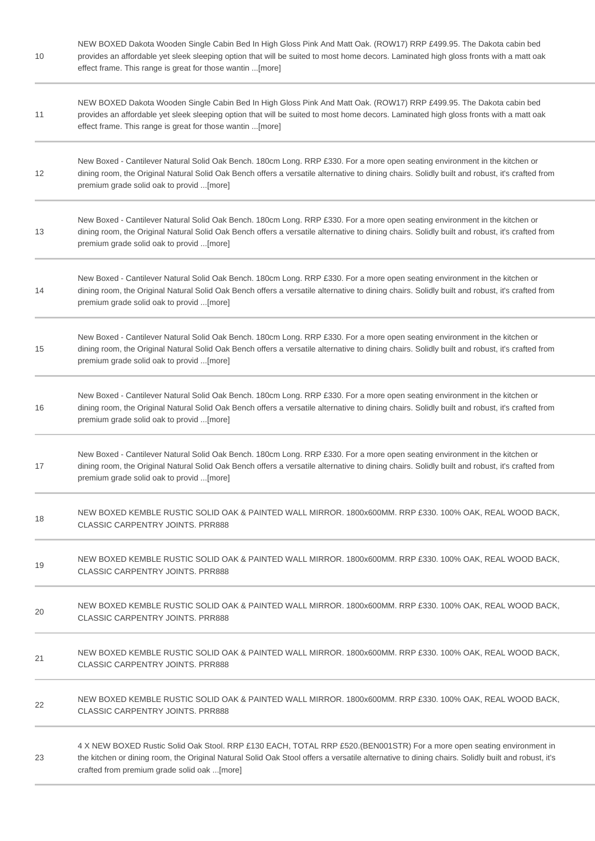| 10 | NEW BOXED Dakota Wooden Single Cabin Bed In High Gloss Pink And Matt Oak. (ROW17) RRP £499.95. The Dakota cabin bed<br>provides an affordable yet sleek sleeping option that will be suited to most home decors. Laminated high gloss fronts with a matt oak<br>effect frame. This range is great for those wantin [more] |
|----|---------------------------------------------------------------------------------------------------------------------------------------------------------------------------------------------------------------------------------------------------------------------------------------------------------------------------|
| 11 | NEW BOXED Dakota Wooden Single Cabin Bed In High Gloss Pink And Matt Oak. (ROW17) RRP £499.95. The Dakota cabin bed<br>provides an affordable yet sleek sleeping option that will be suited to most home decors. Laminated high gloss fronts with a matt oak<br>effect frame. This range is great for those wantin [more] |
| 12 | New Boxed - Cantilever Natural Solid Oak Bench. 180cm Long. RRP £330. For a more open seating environment in the kitchen or<br>dining room, the Original Natural Solid Oak Bench offers a versatile alternative to dining chairs. Solidly built and robust, it's crafted from<br>premium grade solid oak to provid [more] |
| 13 | New Boxed - Cantilever Natural Solid Oak Bench. 180cm Long. RRP £330. For a more open seating environment in the kitchen or<br>dining room, the Original Natural Solid Oak Bench offers a versatile alternative to dining chairs. Solidly built and robust, it's crafted from<br>premium grade solid oak to provid [more] |
| 14 | New Boxed - Cantilever Natural Solid Oak Bench. 180cm Long. RRP £330. For a more open seating environment in the kitchen or<br>dining room, the Original Natural Solid Oak Bench offers a versatile alternative to dining chairs. Solidly built and robust, it's crafted from<br>premium grade solid oak to provid [more] |
| 15 | New Boxed - Cantilever Natural Solid Oak Bench. 180cm Long. RRP £330. For a more open seating environment in the kitchen or<br>dining room, the Original Natural Solid Oak Bench offers a versatile alternative to dining chairs. Solidly built and robust, it's crafted from<br>premium grade solid oak to provid [more] |
| 16 | New Boxed - Cantilever Natural Solid Oak Bench. 180cm Long. RRP £330. For a more open seating environment in the kitchen or<br>dining room, the Original Natural Solid Oak Bench offers a versatile alternative to dining chairs. Solidly built and robust, it's crafted from<br>premium grade solid oak to provid [more] |
| 17 | New Boxed - Cantilever Natural Solid Oak Bench. 180cm Long. RRP £330. For a more open seating environment in the kitchen or<br>dining room, the Original Natural Solid Oak Bench offers a versatile alternative to dining chairs. Solidly built and robust, it's crafted from<br>premium grade solid oak to provid [more] |
| 18 | NEW BOXED KEMBLE RUSTIC SOLID OAK & PAINTED WALL MIRROR. 1800x600MM. RRP £330. 100% OAK, REAL WOOD BACK,<br><b>CLASSIC CARPENTRY JOINTS, PRR888</b>                                                                                                                                                                       |
| 19 | NEW BOXED KEMBLE RUSTIC SOLID OAK & PAINTED WALL MIRROR. 1800x600MM. RRP £330. 100% OAK, REAL WOOD BACK,<br><b>CLASSIC CARPENTRY JOINTS. PRR888</b>                                                                                                                                                                       |
| 20 | NEW BOXED KEMBLE RUSTIC SOLID OAK & PAINTED WALL MIRROR. 1800x600MM. RRP £330. 100% OAK, REAL WOOD BACK,<br><b>CLASSIC CARPENTRY JOINTS. PRR888</b>                                                                                                                                                                       |
| 21 | NEW BOXED KEMBLE RUSTIC SOLID OAK & PAINTED WALL MIRROR. 1800x600MM. RRP £330. 100% OAK, REAL WOOD BACK,<br><b>CLASSIC CARPENTRY JOINTS. PRR888</b>                                                                                                                                                                       |
| 22 | NEW BOXED KEMBLE RUSTIC SOLID OAK & PAINTED WALL MIRROR. 1800x600MM. RRP £330. 100% OAK, REAL WOOD BACK,<br><b>CLASSIC CARPENTRY JOINTS. PRR888</b>                                                                                                                                                                       |
| 23 | 4 X NEW BOXED Rustic Solid Oak Stool. RRP £130 EACH, TOTAL RRP £520.(BEN001STR) For a more open seating environment in<br>the kitchen or dining room, the Original Natural Solid Oak Stool offers a versatile alternative to dining chairs. Solidly built and robust, it's<br>crafted from premium grade solid oak [more] |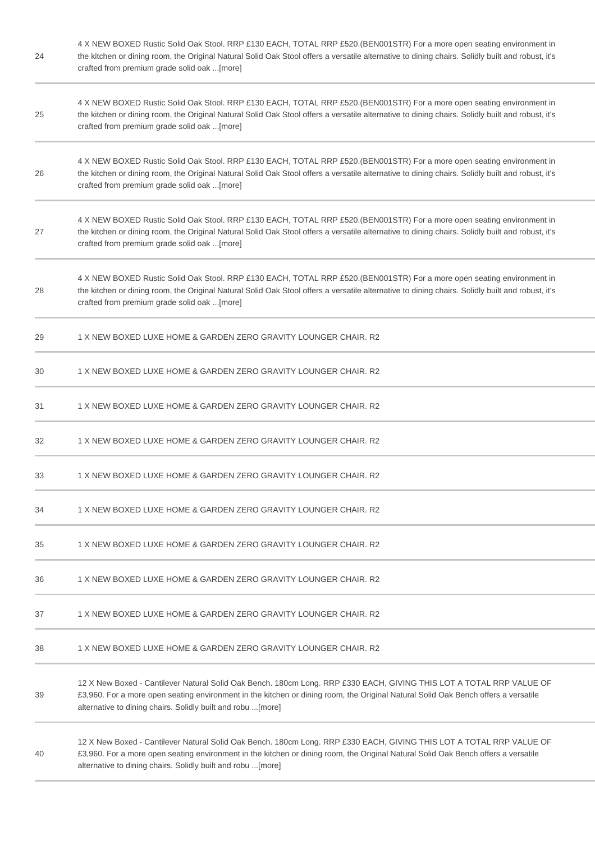| 24 | 4 X NEW BOXED Rustic Solid Oak Stool. RRP £130 EACH, TOTAL RRP £520.(BEN001STR) For a more open seating environment in<br>the kitchen or dining room, the Original Natural Solid Oak Stool offers a versatile alternative to dining chairs. Solidly built and robust, it's<br>crafted from premium grade solid oak [more] |
|----|---------------------------------------------------------------------------------------------------------------------------------------------------------------------------------------------------------------------------------------------------------------------------------------------------------------------------|
| 25 | 4 X NEW BOXED Rustic Solid Oak Stool. RRP £130 EACH, TOTAL RRP £520.(BEN001STR) For a more open seating environment in<br>the kitchen or dining room, the Original Natural Solid Oak Stool offers a versatile alternative to dining chairs. Solidly built and robust, it's<br>crafted from premium grade solid oak [more] |
| 26 | 4 X NEW BOXED Rustic Solid Oak Stool. RRP £130 EACH, TOTAL RRP £520.(BEN001STR) For a more open seating environment in<br>the kitchen or dining room, the Original Natural Solid Oak Stool offers a versatile alternative to dining chairs. Solidly built and robust, it's<br>crafted from premium grade solid oak [more] |
| 27 | 4 X NEW BOXED Rustic Solid Oak Stool. RRP £130 EACH, TOTAL RRP £520.(BEN001STR) For a more open seating environment in<br>the kitchen or dining room, the Original Natural Solid Oak Stool offers a versatile alternative to dining chairs. Solidly built and robust, it's<br>crafted from premium grade solid oak [more] |
| 28 | 4 X NEW BOXED Rustic Solid Oak Stool. RRP £130 EACH, TOTAL RRP £520.(BEN001STR) For a more open seating environment in<br>the kitchen or dining room, the Original Natural Solid Oak Stool offers a versatile alternative to dining chairs. Solidly built and robust, it's<br>crafted from premium grade solid oak [more] |
| 29 | 1 X NEW BOXED LUXE HOME & GARDEN ZERO GRAVITY LOUNGER CHAIR. R2                                                                                                                                                                                                                                                           |
| 30 | 1 X NEW BOXED LUXE HOME & GARDEN ZERO GRAVITY LOUNGER CHAIR. R2                                                                                                                                                                                                                                                           |
| 31 | 1 X NEW BOXED LUXE HOME & GARDEN ZERO GRAVITY LOUNGER CHAIR. R2                                                                                                                                                                                                                                                           |
| 32 | 1 X NEW BOXED LUXE HOME & GARDEN ZERO GRAVITY LOUNGER CHAIR. R2                                                                                                                                                                                                                                                           |
| 33 | 1 X NEW BOXED LUXE HOME & GARDEN ZERO GRAVITY LOUNGER CHAIR. R2                                                                                                                                                                                                                                                           |
| 34 | 1 X NEW BOXED LUXE HOME & GARDEN ZERO GRAVITY LOUNGER CHAIR. R2                                                                                                                                                                                                                                                           |
| 35 | 1 X NEW BOXED LUXE HOME & GARDEN ZERO GRAVITY LOUNGER CHAIR. R2                                                                                                                                                                                                                                                           |
| 36 | 1 X NEW BOXED LUXE HOME & GARDEN ZERO GRAVITY LOUNGER CHAIR. R2                                                                                                                                                                                                                                                           |
| 37 | 1 X NEW BOXED LUXE HOME & GARDEN ZERO GRAVITY LOUNGER CHAIR, R2                                                                                                                                                                                                                                                           |
| 38 | 1 X NEW BOXED LUXE HOME & GARDEN ZERO GRAVITY LOUNGER CHAIR, R2                                                                                                                                                                                                                                                           |
| 39 | 12 X New Boxed - Cantilever Natural Solid Oak Bench. 180cm Long. RRP £330 EACH, GIVING THIS LOT A TOTAL RRP VALUE OF<br>£3,960. For a more open seating environment in the kitchen or dining room, the Original Natural Solid Oak Bench offers a versatile<br>alternative to dining chairs. Solidly built and robu [more] |
| 40 | 12 X New Boxed - Cantilever Natural Solid Oak Bench. 180cm Long. RRP £330 EACH, GIVING THIS LOT A TOTAL RRP VALUE OF<br>£3,960. For a more open seating environment in the kitchen or dining room, the Original Natural Solid Oak Bench offers a versatile<br>alternative to dining chairs. Solidly built and robu [more] |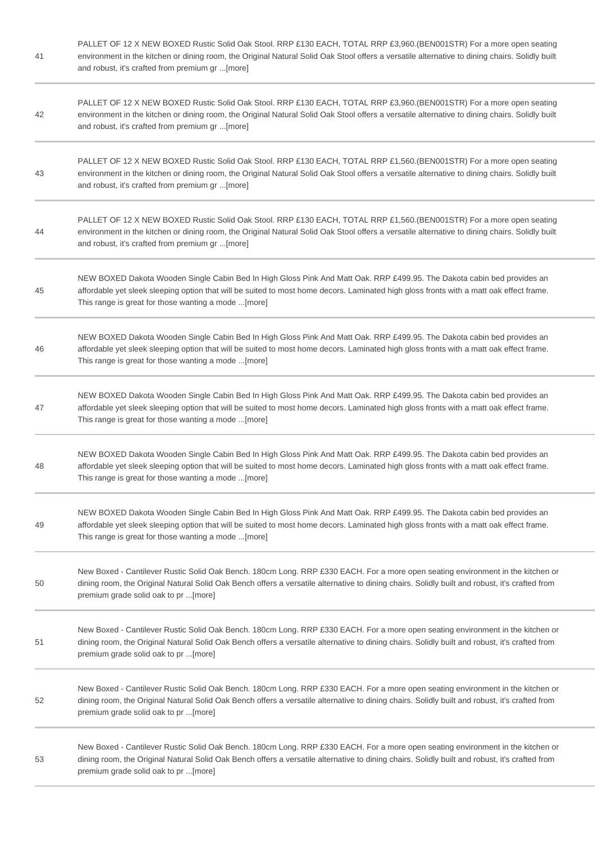41 PALLET OF 12 X NEW BOXED Rustic Solid Oak Stool. RRP £130 EACH, TOTAL RRP £3,960.(BEN001STR) For a more open seating environment in the kitchen or dining room, the Original Natural Solid Oak Stool offers a versatile alternative to dining chairs. Solidly built and robust, it's crafted from premium gr ...[more] 42 PALLET OF 12 X NEW BOXED Rustic Solid Oak Stool. RRP £130 EACH, TOTAL RRP £3,960.(BEN001STR) For a more open seating environment in the kitchen or dining room, the Original Natural Solid Oak Stool offers a versatile alternative to dining chairs. Solidly built and robust, it's crafted from premium gr ...[more] 43 PALLET OF 12 X NEW BOXED Rustic Solid Oak Stool. RRP £130 EACH, TOTAL RRP £1,560.(BEN001STR) For a more open seating environment in the kitchen or dining room, the Original Natural Solid Oak Stool offers a versatile alternative to dining chairs. Solidly built and robust, it's crafted from premium gr ...[more] 44 PALLET OF 12 X NEW BOXED Rustic Solid Oak Stool. RRP £130 EACH, TOTAL RRP £1,560.(BEN001STR) For a more open seating environment in the kitchen or dining room, the Original Natural Solid Oak Stool offers a versatile alternative to dining chairs. Solidly built and robust, it's crafted from premium gr ...[more] 45 NEW BOXED Dakota Wooden Single Cabin Bed In High Gloss Pink And Matt Oak. RRP £499.95. The Dakota cabin bed provides an affordable yet sleek sleeping option that will be suited to most home decors. Laminated high gloss fronts with a matt oak effect frame. This range is great for those wanting a mode ...[more] 46 NEW BOXED Dakota Wooden Single Cabin Bed In High Gloss Pink And Matt Oak. RRP £499.95. The Dakota cabin bed provides an affordable yet sleek sleeping option that will be suited to most home decors. Laminated high gloss fronts with a matt oak effect frame. This range is great for those wanting a mode ...[more] 47 NEW BOXED Dakota Wooden Single Cabin Bed In High Gloss Pink And Matt Oak. RRP £499.95. The Dakota cabin bed provides an affordable yet sleek sleeping option that will be suited to most home decors. Laminated high gloss fronts with a matt oak effect frame. This range is great for those wanting a mode ...[more] 48 NEW BOXED Dakota Wooden Single Cabin Bed In High Gloss Pink And Matt Oak. RRP £499.95. The Dakota cabin bed provides an affordable yet sleek sleeping option that will be suited to most home decors. Laminated high gloss fronts with a matt oak effect frame. This range is great for those wanting a mode ...[more] 49 NEW BOXED Dakota Wooden Single Cabin Bed In High Gloss Pink And Matt Oak. RRP £499.95. The Dakota cabin bed provides an affordable yet sleek sleeping option that will be suited to most home decors. Laminated high gloss fronts with a matt oak effect frame. This range is great for those wanting a mode ...[more] 50 New Boxed - Cantilever Rustic Solid Oak Bench. 180cm Long. RRP £330 EACH. For a more open seating environment in the kitchen or dining room, the Original Natural Solid Oak Bench offers a versatile alternative to dining chairs. Solidly built and robust, it's crafted from premium grade solid oak to pr ...[more] 51 New Boxed - Cantilever Rustic Solid Oak Bench. 180cm Long. RRP £330 EACH. For a more open seating environment in the kitchen or dining room, the Original Natural Solid Oak Bench offers a versatile alternative to dining chairs. Solidly built and robust, it's crafted from premium grade solid oak to pr ...[more] 52 New Boxed - Cantilever Rustic Solid Oak Bench. 180cm Long. RRP £330 EACH. For a more open seating environment in the kitchen or dining room, the Original Natural Solid Oak Bench offers a versatile alternative to dining chairs. Solidly built and robust, it's crafted from premium grade solid oak to pr ...[more]

53 New Boxed - Cantilever Rustic Solid Oak Bench. 180cm Long. RRP £330 EACH. For a more open seating environment in the kitchen or dining room, the Original Natural Solid Oak Bench offers a versatile alternative to dining chairs. Solidly built and robust, it's crafted from premium grade solid oak to pr ...[more]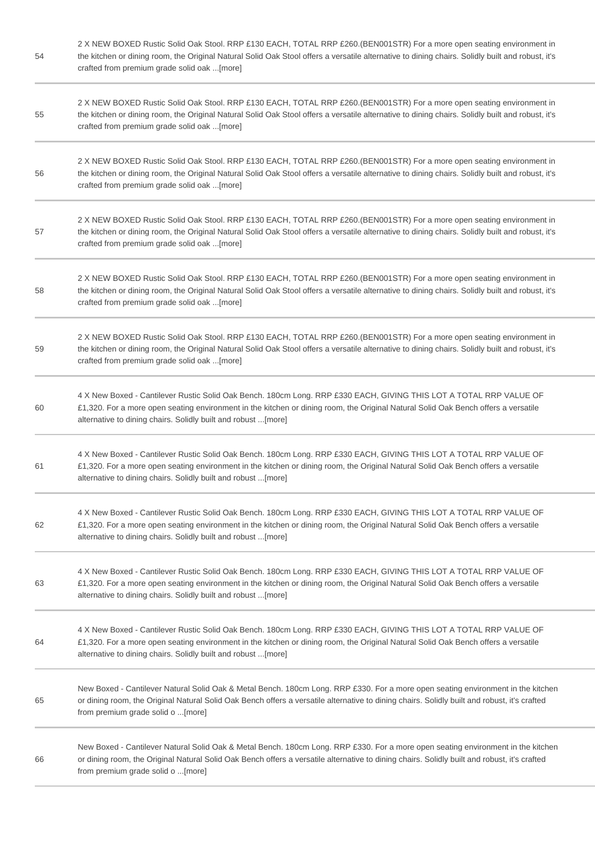| 54 | 2 X NEW BOXED Rustic Solid Oak Stool. RRP £130 EACH, TOTAL RRP £260.(BEN001STR) For a more open seating environment in<br>the kitchen or dining room, the Original Natural Solid Oak Stool offers a versatile alternative to dining chairs. Solidly built and robust, it's<br>crafted from premium grade solid oak [more] |
|----|---------------------------------------------------------------------------------------------------------------------------------------------------------------------------------------------------------------------------------------------------------------------------------------------------------------------------|
| 55 | 2 X NEW BOXED Rustic Solid Oak Stool. RRP £130 EACH, TOTAL RRP £260.(BEN001STR) For a more open seating environment in<br>the kitchen or dining room, the Original Natural Solid Oak Stool offers a versatile alternative to dining chairs. Solidly built and robust, it's<br>crafted from premium grade solid oak [more] |
| 56 | 2 X NEW BOXED Rustic Solid Oak Stool. RRP £130 EACH, TOTAL RRP £260.(BEN001STR) For a more open seating environment in<br>the kitchen or dining room, the Original Natural Solid Oak Stool offers a versatile alternative to dining chairs. Solidly built and robust, it's<br>crafted from premium grade solid oak [more] |
| 57 | 2 X NEW BOXED Rustic Solid Oak Stool. RRP £130 EACH, TOTAL RRP £260.(BEN001STR) For a more open seating environment in<br>the kitchen or dining room, the Original Natural Solid Oak Stool offers a versatile alternative to dining chairs. Solidly built and robust, it's<br>crafted from premium grade solid oak [more] |
| 58 | 2 X NEW BOXED Rustic Solid Oak Stool. RRP £130 EACH, TOTAL RRP £260.(BEN001STR) For a more open seating environment in<br>the kitchen or dining room, the Original Natural Solid Oak Stool offers a versatile alternative to dining chairs. Solidly built and robust, it's<br>crafted from premium grade solid oak [more] |
| 59 | 2 X NEW BOXED Rustic Solid Oak Stool. RRP £130 EACH, TOTAL RRP £260.(BEN001STR) For a more open seating environment in<br>the kitchen or dining room, the Original Natural Solid Oak Stool offers a versatile alternative to dining chairs. Solidly built and robust, it's<br>crafted from premium grade solid oak [more] |
| 60 | 4 X New Boxed - Cantilever Rustic Solid Oak Bench. 180cm Long. RRP £330 EACH, GIVING THIS LOT A TOTAL RRP VALUE OF<br>£1,320. For a more open seating environment in the kitchen or dining room, the Original Natural Solid Oak Bench offers a versatile<br>alternative to dining chairs. Solidly built and robust [more] |
| 61 | 4 X New Boxed - Cantilever Rustic Solid Oak Bench. 180cm Long. RRP £330 EACH, GIVING THIS LOT A TOTAL RRP VALUE OF<br>£1,320. For a more open seating environment in the kitchen or dining room, the Original Natural Solid Oak Bench offers a versatile<br>alternative to dining chairs. Solidly built and robust [more] |
| 62 | 4 X New Boxed - Cantilever Rustic Solid Oak Bench. 180cm Long. RRP £330 EACH, GIVING THIS LOT A TOTAL RRP VALUE OF<br>£1,320. For a more open seating environment in the kitchen or dining room, the Original Natural Solid Oak Bench offers a versatile<br>alternative to dining chairs. Solidly built and robust [more] |
| 63 | 4 X New Boxed - Cantilever Rustic Solid Oak Bench. 180cm Long. RRP £330 EACH, GIVING THIS LOT A TOTAL RRP VALUE OF<br>£1,320. For a more open seating environment in the kitchen or dining room, the Original Natural Solid Oak Bench offers a versatile<br>alternative to dining chairs. Solidly built and robust [more] |
| 64 | 4 X New Boxed - Cantilever Rustic Solid Oak Bench. 180cm Long. RRP £330 EACH, GIVING THIS LOT A TOTAL RRP VALUE OF<br>£1,320. For a more open seating environment in the kitchen or dining room, the Original Natural Solid Oak Bench offers a versatile<br>alternative to dining chairs. Solidly built and robust [more] |
| 65 | New Boxed - Cantilever Natural Solid Oak & Metal Bench. 180cm Long. RRP £330. For a more open seating environment in the kitchen<br>or dining room, the Original Natural Solid Oak Bench offers a versatile alternative to dining chairs. Solidly built and robust, it's crafted<br>from premium grade solid o [more]     |
| 66 | New Boxed - Cantilever Natural Solid Oak & Metal Bench. 180cm Long. RRP £330. For a more open seating environment in the kitchen<br>or dining room, the Original Natural Solid Oak Bench offers a versatile alternative to dining chairs. Solidly built and robust, it's crafted<br>from premium grade solid o [more]     |

۰

 $\sim$